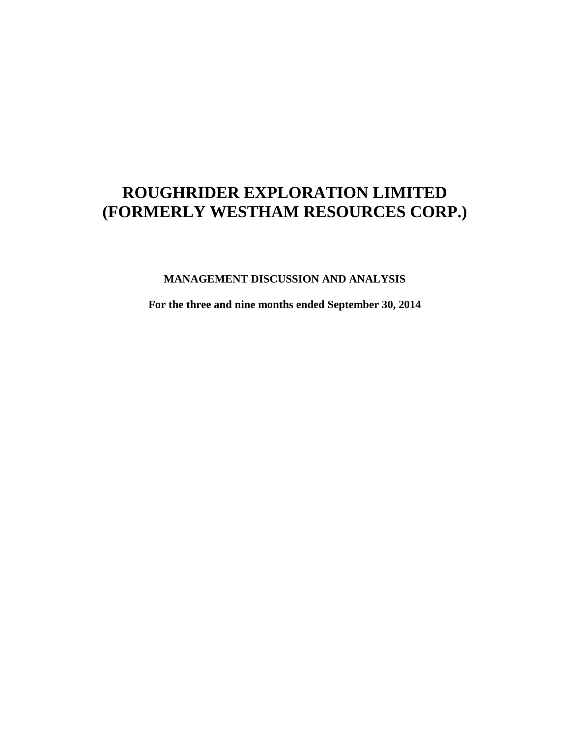**MANAGEMENT DISCUSSION AND ANALYSIS**

**For the three and nine months ended September 30, 2014**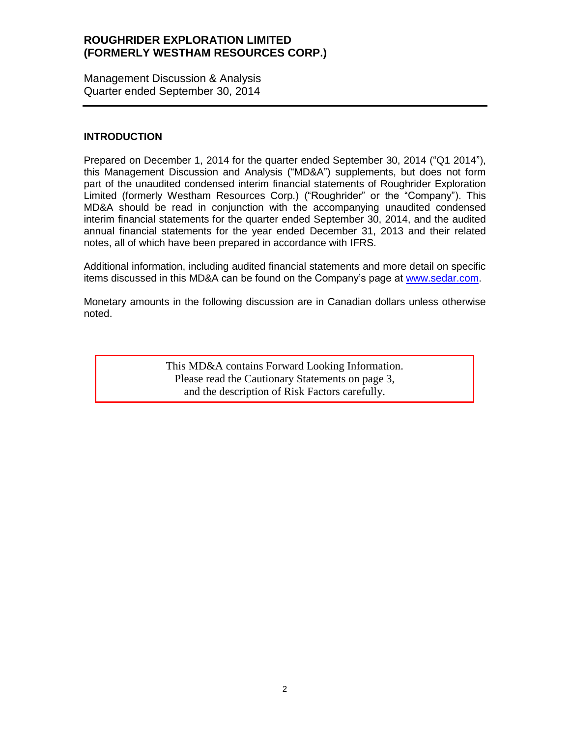Management Discussion & Analysis Quarter ended September 30, 2014

#### **INTRODUCTION**

Prepared on December 1, 2014 for the quarter ended September 30, 2014 ("Q1 2014"), this Management Discussion and Analysis ("MD&A") supplements, but does not form part of the unaudited condensed interim financial statements of Roughrider Exploration Limited (formerly Westham Resources Corp.) ("Roughrider" or the "Company"). This MD&A should be read in conjunction with the accompanying unaudited condensed interim financial statements for the quarter ended September 30, 2014, and the audited annual financial statements for the year ended December 31, 2013 and their related notes, all of which have been prepared in accordance with IFRS.

Additional information, including audited financial statements and more detail on specific items discussed in this MD&A can be found on the Company's page at [www.sedar.com.](http://www.sedar.com/)

Monetary amounts in the following discussion are in Canadian dollars unless otherwise noted.

> This MD&A contains Forward Looking Information. Please read the Cautionary Statements on page 3, and the description of Risk Factors carefully.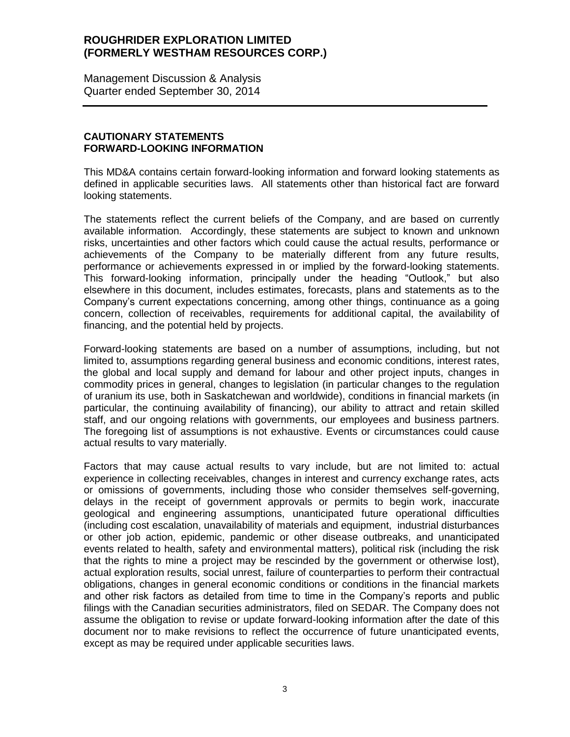Management Discussion & Analysis Quarter ended September 30, 2014

### **CAUTIONARY STATEMENTS FORWARD-LOOKING INFORMATION**

This MD&A contains certain forward-looking information and forward looking statements as defined in applicable securities laws. All statements other than historical fact are forward looking statements.

The statements reflect the current beliefs of the Company, and are based on currently available information. Accordingly, these statements are subject to known and unknown risks, uncertainties and other factors which could cause the actual results, performance or achievements of the Company to be materially different from any future results, performance or achievements expressed in or implied by the forward-looking statements. This forward-looking information, principally under the heading "Outlook," but also elsewhere in this document, includes estimates, forecasts, plans and statements as to the Company's current expectations concerning, among other things, continuance as a going concern, collection of receivables, requirements for additional capital, the availability of financing, and the potential held by projects.

Forward-looking statements are based on a number of assumptions, including, but not limited to, assumptions regarding general business and economic conditions, interest rates, the global and local supply and demand for labour and other project inputs, changes in commodity prices in general, changes to legislation (in particular changes to the regulation of uranium its use, both in Saskatchewan and worldwide), conditions in financial markets (in particular, the continuing availability of financing), our ability to attract and retain skilled staff, and our ongoing relations with governments, our employees and business partners. The foregoing list of assumptions is not exhaustive. Events or circumstances could cause actual results to vary materially.

Factors that may cause actual results to vary include, but are not limited to: actual experience in collecting receivables, changes in interest and currency exchange rates, acts or omissions of governments, including those who consider themselves self-governing, delays in the receipt of government approvals or permits to begin work, inaccurate geological and engineering assumptions, unanticipated future operational difficulties (including cost escalation, unavailability of materials and equipment, industrial disturbances or other job action, epidemic, pandemic or other disease outbreaks, and unanticipated events related to health, safety and environmental matters), political risk (including the risk that the rights to mine a project may be rescinded by the government or otherwise lost), actual exploration results, social unrest, failure of counterparties to perform their contractual obligations, changes in general economic conditions or conditions in the financial markets and other risk factors as detailed from time to time in the Company's reports and public filings with the Canadian securities administrators, filed on SEDAR. The Company does not assume the obligation to revise or update forward-looking information after the date of this document nor to make revisions to reflect the occurrence of future unanticipated events, except as may be required under applicable securities laws.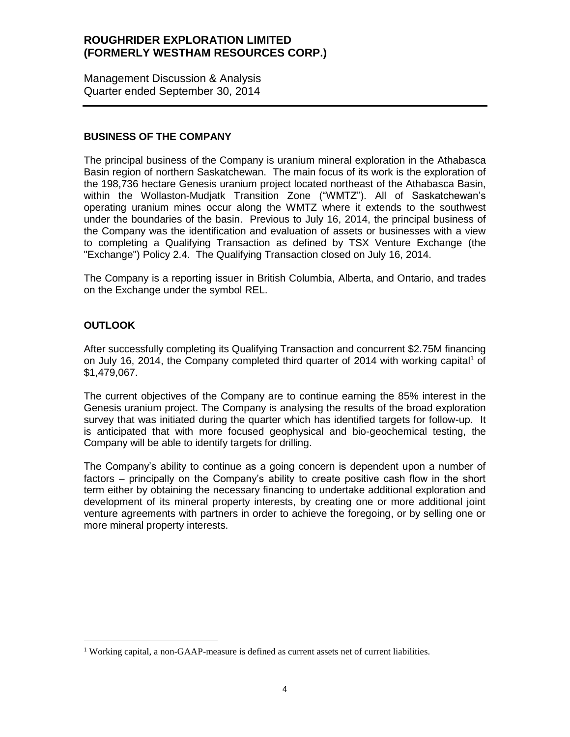Management Discussion & Analysis Quarter ended September 30, 2014

### **BUSINESS OF THE COMPANY**

The principal business of the Company is uranium mineral exploration in the Athabasca Basin region of northern Saskatchewan. The main focus of its work is the exploration of the 198,736 hectare Genesis uranium project located northeast of the Athabasca Basin, within the Wollaston-Mudjatk Transition Zone ("WMTZ"). All of Saskatchewan's operating uranium mines occur along the WMTZ where it extends to the southwest under the boundaries of the basin. Previous to July 16, 2014, the principal business of the Company was the identification and evaluation of assets or businesses with a view to completing a Qualifying Transaction as defined by TSX Venture Exchange (the "Exchange") Policy 2.4. The Qualifying Transaction closed on July 16, 2014.

The Company is a reporting issuer in British Columbia, Alberta, and Ontario, and trades on the Exchange under the symbol REL.

## **OUTLOOK**

 $\overline{a}$ 

After successfully completing its Qualifying Transaction and concurrent \$2.75M financing on July 16, 2014, the Company completed third quarter of 2014 with working capital<sup>1</sup> of \$1,479,067.

The current objectives of the Company are to continue earning the 85% interest in the Genesis uranium project. The Company is analysing the results of the broad exploration survey that was initiated during the quarter which has identified targets for follow-up. It is anticipated that with more focused geophysical and bio-geochemical testing, the Company will be able to identify targets for drilling.

The Company's ability to continue as a going concern is dependent upon a number of factors – principally on the Company's ability to create positive cash flow in the short term either by obtaining the necessary financing to undertake additional exploration and development of its mineral property interests, by creating one or more additional joint venture agreements with partners in order to achieve the foregoing, or by selling one or more mineral property interests.

<sup>&</sup>lt;sup>1</sup> Working capital, a non-GAAP-measure is defined as current assets net of current liabilities.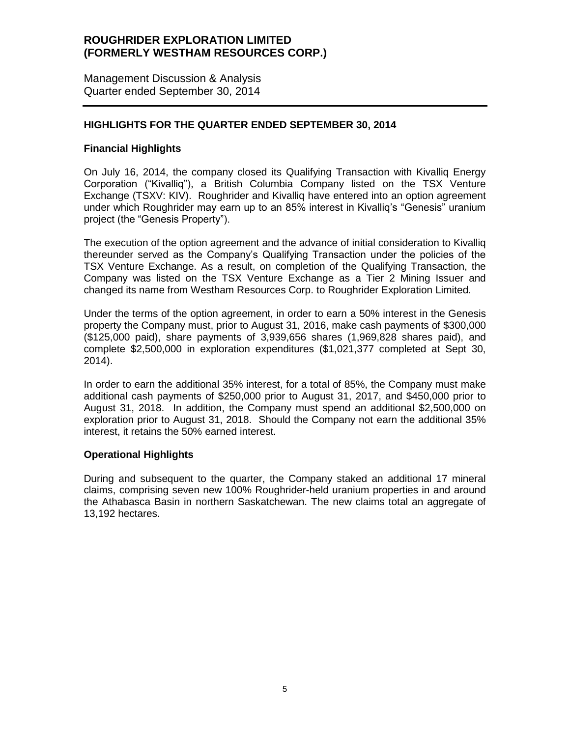Management Discussion & Analysis Quarter ended September 30, 2014

### **HIGHLIGHTS FOR THE QUARTER ENDED SEPTEMBER 30, 2014**

### **Financial Highlights**

On July 16, 2014, the company closed its Qualifying Transaction with Kivalliq Energy Corporation ("Kivalliq"), a British Columbia Company listed on the TSX Venture Exchange (TSXV: KIV). Roughrider and Kivalliq have entered into an option agreement under which Roughrider may earn up to an 85% interest in Kivalliq's "Genesis" uranium project (the "Genesis Property").

The execution of the option agreement and the advance of initial consideration to Kivalliq thereunder served as the Company's Qualifying Transaction under the policies of the TSX Venture Exchange. As a result, on completion of the Qualifying Transaction, the Company was listed on the TSX Venture Exchange as a Tier 2 Mining Issuer and changed its name from Westham Resources Corp. to Roughrider Exploration Limited.

Under the terms of the option agreement, in order to earn a 50% interest in the Genesis property the Company must, prior to August 31, 2016, make cash payments of \$300,000 (\$125,000 paid), share payments of 3,939,656 shares (1,969,828 shares paid), and complete \$2,500,000 in exploration expenditures (\$1,021,377 completed at Sept 30, 2014).

In order to earn the additional 35% interest, for a total of 85%, the Company must make additional cash payments of \$250,000 prior to August 31, 2017, and \$450,000 prior to August 31, 2018. In addition, the Company must spend an additional \$2,500,000 on exploration prior to August 31, 2018. Should the Company not earn the additional 35% interest, it retains the 50% earned interest.

### **Operational Highlights**

During and subsequent to the quarter, the Company staked an additional 17 mineral claims, comprising seven new 100% Roughrider-held uranium properties in and around the Athabasca Basin in northern Saskatchewan. The new claims total an aggregate of 13,192 hectares.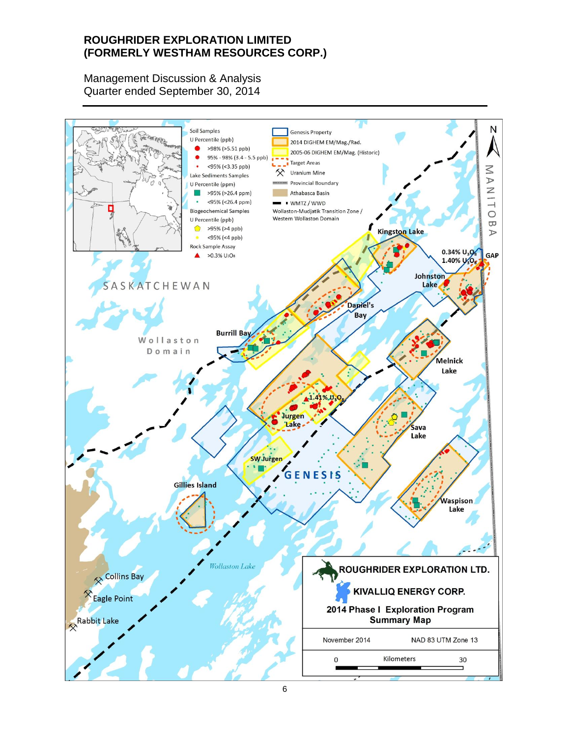Management Discussion & Analysis Quarter ended September 30, 2014

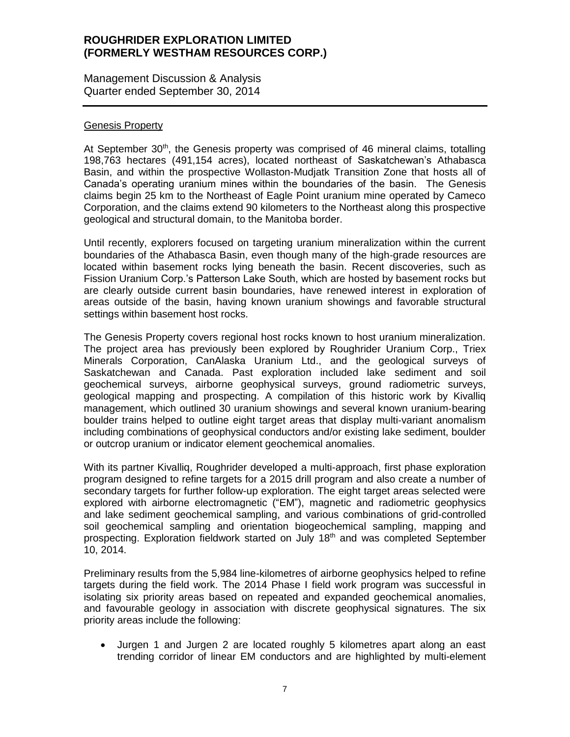Management Discussion & Analysis Quarter ended September 30, 2014

#### Genesis Property

At September 30<sup>th</sup>, the Genesis property was comprised of 46 mineral claims, totalling 198,763 hectares (491,154 acres), located northeast of Saskatchewan's Athabasca Basin, and within the prospective Wollaston-Mudjatk Transition Zone that hosts all of Canada's operating uranium mines within the boundaries of the basin. The Genesis claims begin 25 km to the Northeast of Eagle Point uranium mine operated by Cameco Corporation, and the claims extend 90 kilometers to the Northeast along this prospective geological and structural domain, to the Manitoba border.

Until recently, explorers focused on targeting uranium mineralization within the current boundaries of the Athabasca Basin, even though many of the high‐grade resources are located within basement rocks lying beneath the basin. Recent discoveries, such as Fission Uranium Corp.'s Patterson Lake South, which are hosted by basement rocks but are clearly outside current basin boundaries, have renewed interest in exploration of areas outside of the basin, having known uranium showings and favorable structural settings within basement host rocks.

The Genesis Property covers regional host rocks known to host uranium mineralization. The project area has previously been explored by Roughrider Uranium Corp., Triex Minerals Corporation, CanAlaska Uranium Ltd., and the geological surveys of Saskatchewan and Canada. Past exploration included lake sediment and soil geochemical surveys, airborne geophysical surveys, ground radiometric surveys, geological mapping and prospecting. A compilation of this historic work by Kivalliq management, which outlined 30 uranium showings and several known uranium‐bearing boulder trains helped to outline eight target areas that display multi‐variant anomalism including combinations of geophysical conductors and/or existing lake sediment, boulder or outcrop uranium or indicator element geochemical anomalies.

With its partner Kivalliq, Roughrider developed a multi-approach, first phase exploration program designed to refine targets for a 2015 drill program and also create a number of secondary targets for further follow-up exploration. The eight target areas selected were explored with airborne electromagnetic ("EM"), magnetic and radiometric geophysics and lake sediment geochemical sampling, and various combinations of grid-controlled soil geochemical sampling and orientation biogeochemical sampling, mapping and prospecting. Exploration fieldwork started on July 18<sup>th</sup> and was completed September 10, 2014.

Preliminary results from the 5,984 line-kilometres of airborne geophysics helped to refine targets during the field work. The 2014 Phase I field work program was successful in isolating six priority areas based on repeated and expanded geochemical anomalies, and favourable geology in association with discrete geophysical signatures. The six priority areas include the following:

 Jurgen 1 and Jurgen 2 are located roughly 5 kilometres apart along an east trending corridor of linear EM conductors and are highlighted by multi-element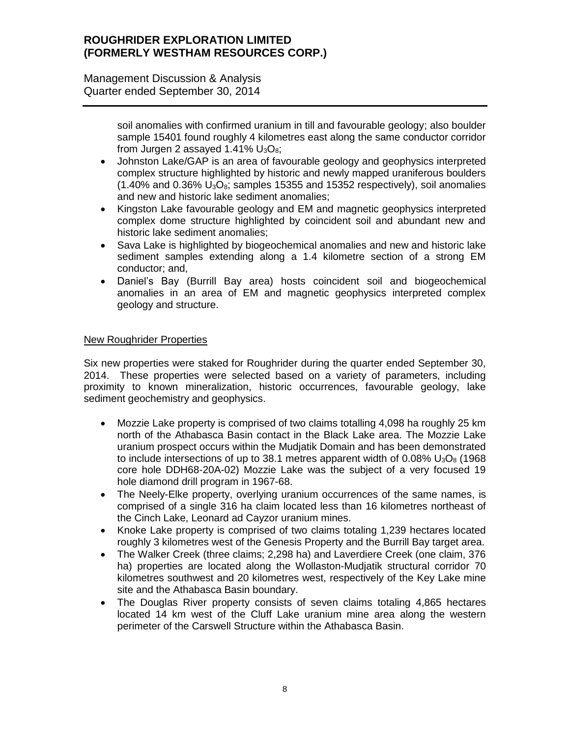Management Discussion & Analysis Quarter ended September 30, 2014

> soil anomalies with confirmed uranium in till and favourable geology; also boulder sample 15401 found roughly 4 kilometres east along the same conductor corridor from Jurgen 2 assayed 1.41%  $U_3O_8$ ;

- Johnston Lake/GAP is an area of favourable geology and geophysics interpreted complex structure highlighted by historic and newly mapped uraniferous boulders  $(1.40\%$  and 0.36%  $U_3O_8$ ; samples 15355 and 15352 respectively), soil anomalies and new and historic lake sediment anomalies;
- Kingston Lake favourable geology and EM and magnetic geophysics interpreted complex dome structure highlighted by coincident soil and abundant new and historic lake sediment anomalies;
- Sava Lake is highlighted by biogeochemical anomalies and new and historic lake sediment samples extending along a 1.4 kilometre section of a strong EM conductor; and,
- Daniel's Bay (Burrill Bay area) hosts coincident soil and biogeochemical anomalies in an area of EM and magnetic geophysics interpreted complex geology and structure.

### New Roughrider Properties

Six new properties were staked for Roughrider during the quarter ended September 30, 2014. These properties were selected based on a variety of parameters, including proximity to known mineralization, historic occurrences, favourable geology, lake sediment geochemistry and geophysics.

- Mozzie Lake property is comprised of two claims totalling 4,098 ha roughly 25 km north of the Athabasca Basin contact in the Black Lake area. The Mozzie Lake uranium prospect occurs within the Mudjatik Domain and has been demonstrated to include intersections of up to 38.1 metres apparent width of  $0.08\%$  U<sub>3</sub>O<sub>8</sub> (1968) core hole DDH68-20A-02) Mozzie Lake was the subject of a very focused 19 hole diamond drill program in 1967-68.
- The Neely-Elke property, overlying uranium occurrences of the same names, is comprised of a single 316 ha claim located less than 16 kilometres northeast of the Cinch Lake, Leonard ad Cayzor uranium mines.
- Knoke Lake property is comprised of two claims totaling 1,239 hectares located roughly 3 kilometres west of the Genesis Property and the Burrill Bay target area.
- The Walker Creek (three claims; 2,298 ha) and Laverdiere Creek (one claim, 376 ha) properties are located along the Wollaston-Mudjatik structural corridor 70 kilometres southwest and 20 kilometres west, respectively of the Key Lake mine site and the Athabasca Basin boundary.
- The Douglas River property consists of seven claims totaling 4,865 hectares located 14 km west of the Cluff Lake uranium mine area along the western perimeter of the Carswell Structure within the Athabasca Basin.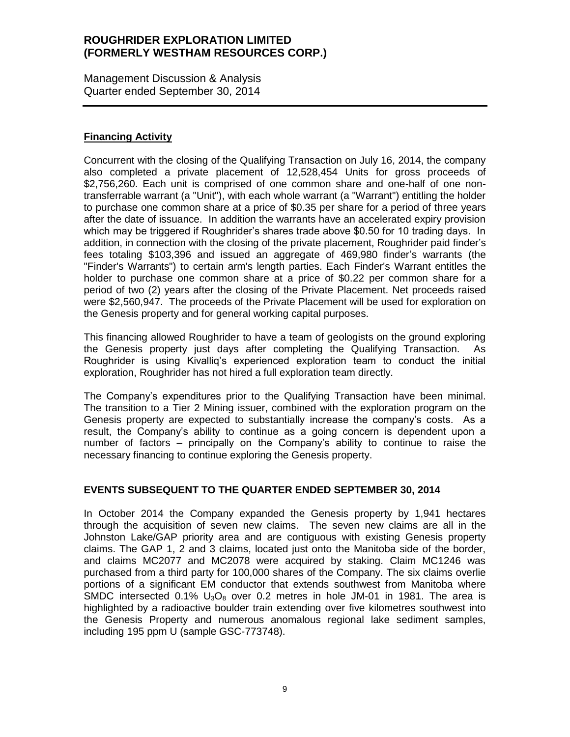Management Discussion & Analysis Quarter ended September 30, 2014

### **Financing Activity**

Concurrent with the closing of the Qualifying Transaction on July 16, 2014, the company also completed a private placement of 12,528,454 Units for gross proceeds of \$2,756,260. Each unit is comprised of one common share and one-half of one nontransferrable warrant (a "Unit"), with each whole warrant (a "Warrant") entitling the holder to purchase one common share at a price of \$0.35 per share for a period of three years after the date of issuance. In addition the warrants have an accelerated expiry provision which may be triggered if Roughrider's shares trade above \$0.50 for 10 trading days. In addition, in connection with the closing of the private placement, Roughrider paid finder's fees totaling \$103,396 and issued an aggregate of 469,980 finder's warrants (the "Finder's Warrants") to certain arm's length parties. Each Finder's Warrant entitles the holder to purchase one common share at a price of \$0.22 per common share for a period of two (2) years after the closing of the Private Placement. Net proceeds raised were \$2,560,947. The proceeds of the Private Placement will be used for exploration on the Genesis property and for general working capital purposes.

This financing allowed Roughrider to have a team of geologists on the ground exploring the Genesis property just days after completing the Qualifying Transaction. As Roughrider is using Kivalliq's experienced exploration team to conduct the initial exploration, Roughrider has not hired a full exploration team directly.

The Company's expenditures prior to the Qualifying Transaction have been minimal. The transition to a Tier 2 Mining issuer, combined with the exploration program on the Genesis property are expected to substantially increase the company's costs. As a result, the Company's ability to continue as a going concern is dependent upon a number of factors – principally on the Company's ability to continue to raise the necessary financing to continue exploring the Genesis property.

### **EVENTS SUBSEQUENT TO THE QUARTER ENDED SEPTEMBER 30, 2014**

In October 2014 the Company expanded the Genesis property by 1,941 hectares through the acquisition of seven new claims. The seven new claims are all in the Johnston Lake/GAP priority area and are contiguous with existing Genesis property claims. The GAP 1, 2 and 3 claims, located just onto the Manitoba side of the border, and claims MC2077 and MC2078 were acquired by staking. Claim MC1246 was purchased from a third party for 100,000 shares of the Company. The six claims overlie portions of a significant EM conductor that extends southwest from Manitoba where SMDC intersected 0.1%  $U_3O_8$  over 0.2 metres in hole JM-01 in 1981. The area is highlighted by a radioactive boulder train extending over five kilometres southwest into the Genesis Property and numerous anomalous regional lake sediment samples, including 195 ppm U (sample GSC-773748).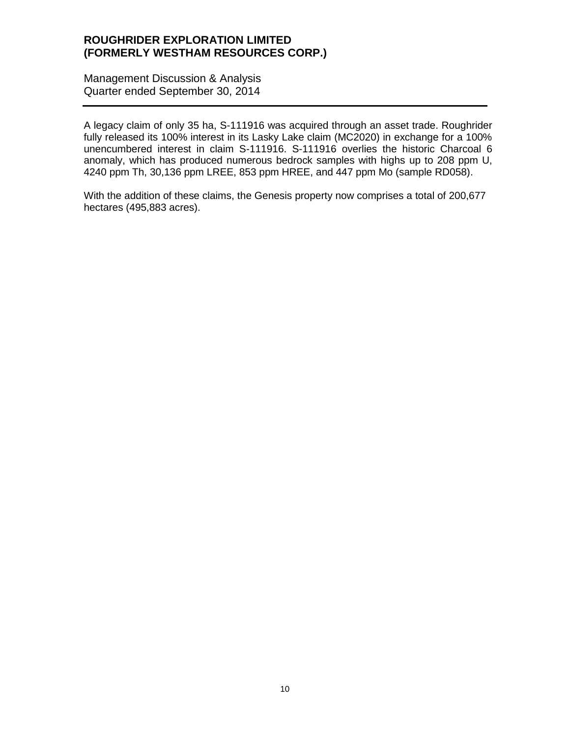Management Discussion & Analysis Quarter ended September 30, 2014

A legacy claim of only 35 ha, S-111916 was acquired through an asset trade. Roughrider fully released its 100% interest in its Lasky Lake claim (MC2020) in exchange for a 100% unencumbered interest in claim S-111916. S-111916 overlies the historic Charcoal 6 anomaly, which has produced numerous bedrock samples with highs up to 208 ppm U, 4240 ppm Th, 30,136 ppm LREE, 853 ppm HREE, and 447 ppm Mo (sample RD058).

With the addition of these claims, the Genesis property now comprises a total of 200,677 hectares (495,883 acres).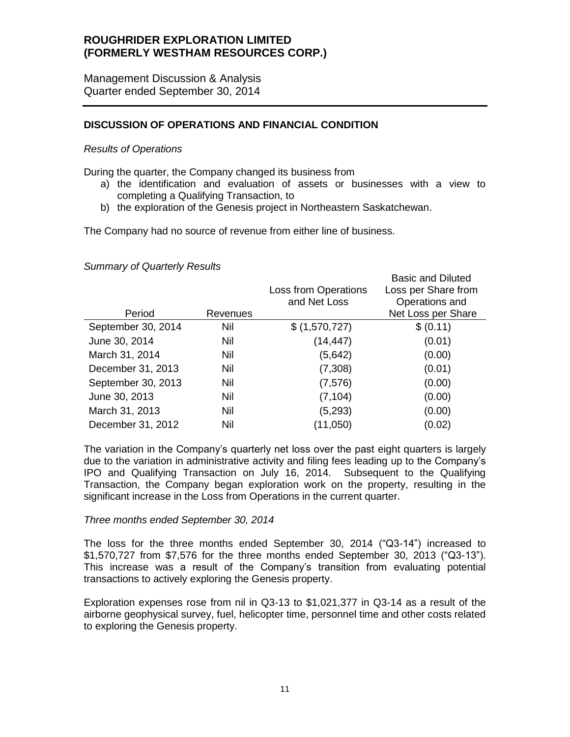Management Discussion & Analysis Quarter ended September 30, 2014

### **DISCUSSION OF OPERATIONS AND FINANCIAL CONDITION**

#### *Results of Operations*

During the quarter, the Company changed its business from

a) the identification and evaluation of assets or businesses with a view to completing a Qualifying Transaction, to

Basic and Diluted

b) the exploration of the Genesis project in Northeastern Saskatchewan.

The Company had no source of revenue from either line of business.

#### *Summary of Quarterly Results*

|                    |          |                                             | Basic and Diluted                     |
|--------------------|----------|---------------------------------------------|---------------------------------------|
|                    |          | <b>Loss from Operations</b><br>and Net Loss | Loss per Share from<br>Operations and |
| Period             | Revenues |                                             | Net Loss per Share                    |
| September 30, 2014 | Nil      | \$ (1,570,727)                              | \$ (0.11)                             |
| June 30, 2014      | Nil      | (14, 447)                                   | (0.01)                                |
| March 31, 2014     | Nil      | (5,642)                                     | (0.00)                                |
| December 31, 2013  | Nil      | (7,308)                                     | (0.01)                                |
| September 30, 2013 | Nil      | (7, 576)                                    | (0.00)                                |
| June 30, 2013      | Nil      | (7, 104)                                    | (0.00)                                |
| March 31, 2013     | Nil      | (5, 293)                                    | (0.00)                                |
| December 31, 2012  | Nil      | (11,050)                                    | (0.02)                                |
|                    |          |                                             |                                       |

The variation in the Company's quarterly net loss over the past eight quarters is largely due to the variation in administrative activity and filing fees leading up to the Company's IPO and Qualifying Transaction on July 16, 2014. Subsequent to the Qualifying Transaction, the Company began exploration work on the property, resulting in the significant increase in the Loss from Operations in the current quarter.

#### *Three months ended September 30, 2014*

The loss for the three months ended September 30, 2014 ("Q3-14") increased to \$1,570,727 from \$7,576 for the three months ended September 30, 2013 ("Q3-13"). This increase was a result of the Company's transition from evaluating potential transactions to actively exploring the Genesis property.

Exploration expenses rose from nil in Q3-13 to \$1,021,377 in Q3-14 as a result of the airborne geophysical survey, fuel, helicopter time, personnel time and other costs related to exploring the Genesis property.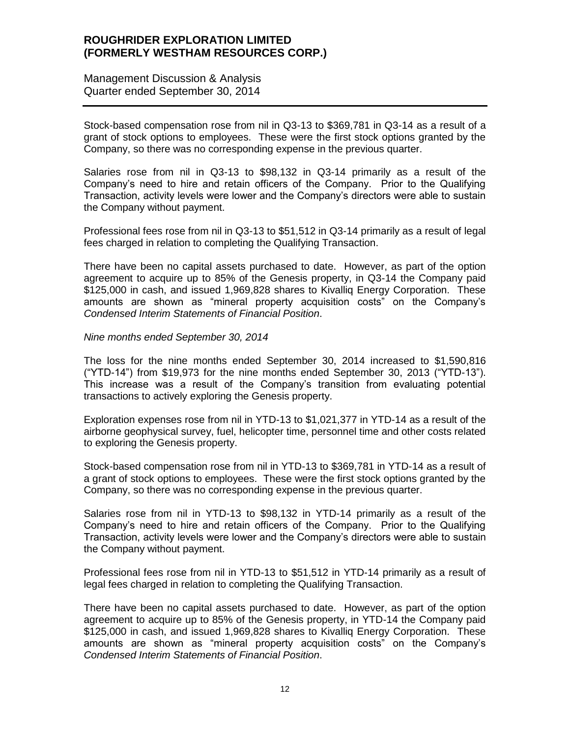Management Discussion & Analysis Quarter ended September 30, 2014

Stock-based compensation rose from nil in Q3-13 to \$369,781 in Q3-14 as a result of a grant of stock options to employees. These were the first stock options granted by the Company, so there was no corresponding expense in the previous quarter.

Salaries rose from nil in Q3-13 to \$98,132 in Q3-14 primarily as a result of the Company's need to hire and retain officers of the Company. Prior to the Qualifying Transaction, activity levels were lower and the Company's directors were able to sustain the Company without payment.

Professional fees rose from nil in Q3-13 to \$51,512 in Q3-14 primarily as a result of legal fees charged in relation to completing the Qualifying Transaction.

There have been no capital assets purchased to date. However, as part of the option agreement to acquire up to 85% of the Genesis property, in Q3-14 the Company paid \$125,000 in cash, and issued 1,969,828 shares to Kivalliq Energy Corporation. These amounts are shown as "mineral property acquisition costs" on the Company's *Condensed Interim Statements of Financial Position*.

#### *Nine months ended September 30, 2014*

The loss for the nine months ended September 30, 2014 increased to \$1,590,816 ("YTD-14") from \$19,973 for the nine months ended September 30, 2013 ("YTD-13"). This increase was a result of the Company's transition from evaluating potential transactions to actively exploring the Genesis property.

Exploration expenses rose from nil in YTD-13 to \$1,021,377 in YTD-14 as a result of the airborne geophysical survey, fuel, helicopter time, personnel time and other costs related to exploring the Genesis property.

Stock-based compensation rose from nil in YTD-13 to \$369,781 in YTD-14 as a result of a grant of stock options to employees. These were the first stock options granted by the Company, so there was no corresponding expense in the previous quarter.

Salaries rose from nil in YTD-13 to \$98,132 in YTD-14 primarily as a result of the Company's need to hire and retain officers of the Company. Prior to the Qualifying Transaction, activity levels were lower and the Company's directors were able to sustain the Company without payment.

Professional fees rose from nil in YTD-13 to \$51,512 in YTD-14 primarily as a result of legal fees charged in relation to completing the Qualifying Transaction.

There have been no capital assets purchased to date. However, as part of the option agreement to acquire up to 85% of the Genesis property, in YTD-14 the Company paid \$125,000 in cash, and issued 1,969,828 shares to Kivalliq Energy Corporation. These amounts are shown as "mineral property acquisition costs" on the Company's *Condensed Interim Statements of Financial Position*.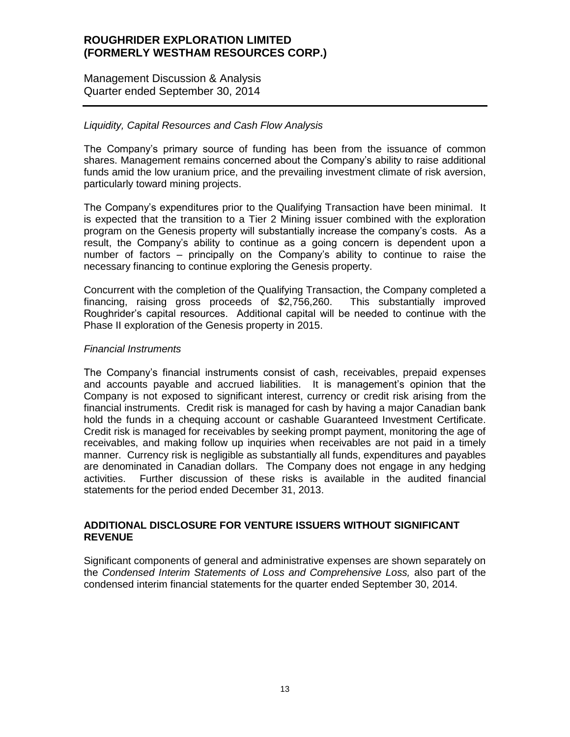Management Discussion & Analysis Quarter ended September 30, 2014

### *Liquidity, Capital Resources and Cash Flow Analysis*

The Company's primary source of funding has been from the issuance of common shares. Management remains concerned about the Company's ability to raise additional funds amid the low uranium price, and the prevailing investment climate of risk aversion, particularly toward mining projects.

The Company's expenditures prior to the Qualifying Transaction have been minimal. It is expected that the transition to a Tier 2 Mining issuer combined with the exploration program on the Genesis property will substantially increase the company's costs. As a result, the Company's ability to continue as a going concern is dependent upon a number of factors – principally on the Company's ability to continue to raise the necessary financing to continue exploring the Genesis property.

Concurrent with the completion of the Qualifying Transaction, the Company completed a financing, raising gross proceeds of \$2,756,260. This substantially improved Roughrider's capital resources. Additional capital will be needed to continue with the Phase II exploration of the Genesis property in 2015.

#### *Financial Instruments*

The Company's financial instruments consist of cash, receivables, prepaid expenses and accounts payable and accrued liabilities. It is management's opinion that the Company is not exposed to significant interest, currency or credit risk arising from the financial instruments. Credit risk is managed for cash by having a major Canadian bank hold the funds in a chequing account or cashable Guaranteed Investment Certificate. Credit risk is managed for receivables by seeking prompt payment, monitoring the age of receivables, and making follow up inquiries when receivables are not paid in a timely manner. Currency risk is negligible as substantially all funds, expenditures and payables are denominated in Canadian dollars. The Company does not engage in any hedging activities. Further discussion of these risks is available in the audited financial statements for the period ended December 31, 2013.

#### **ADDITIONAL DISCLOSURE FOR VENTURE ISSUERS WITHOUT SIGNIFICANT REVENUE**

Significant components of general and administrative expenses are shown separately on the *Condensed Interim Statements of Loss and Comprehensive Loss,* also part of the condensed interim financial statements for the quarter ended September 30, 2014.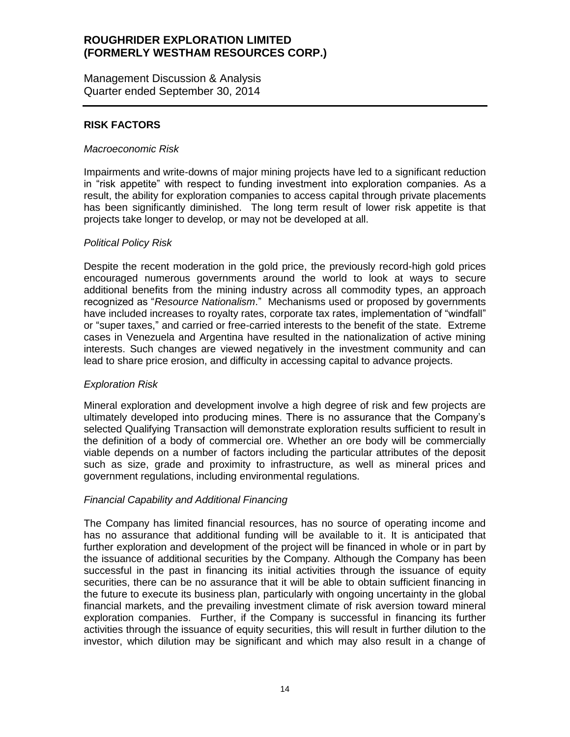Management Discussion & Analysis Quarter ended September 30, 2014

### **RISK FACTORS**

#### *Macroeconomic Risk*

Impairments and write-downs of major mining projects have led to a significant reduction in "risk appetite" with respect to funding investment into exploration companies. As a result, the ability for exploration companies to access capital through private placements has been significantly diminished. The long term result of lower risk appetite is that projects take longer to develop, or may not be developed at all.

#### *Political Policy Risk*

Despite the recent moderation in the gold price, the previously record-high gold prices encouraged numerous governments around the world to look at ways to secure additional benefits from the mining industry across all commodity types, an approach recognized as "*Resource Nationalism*." Mechanisms used or proposed by governments have included increases to royalty rates, corporate tax rates, implementation of "windfall" or "super taxes," and carried or free-carried interests to the benefit of the state. Extreme cases in Venezuela and Argentina have resulted in the nationalization of active mining interests. Such changes are viewed negatively in the investment community and can lead to share price erosion, and difficulty in accessing capital to advance projects.

### *Exploration Risk*

Mineral exploration and development involve a high degree of risk and few projects are ultimately developed into producing mines. There is no assurance that the Company's selected Qualifying Transaction will demonstrate exploration results sufficient to result in the definition of a body of commercial ore. Whether an ore body will be commercially viable depends on a number of factors including the particular attributes of the deposit such as size, grade and proximity to infrastructure, as well as mineral prices and government regulations, including environmental regulations.

### *Financial Capability and Additional Financing*

The Company has limited financial resources, has no source of operating income and has no assurance that additional funding will be available to it. It is anticipated that further exploration and development of the project will be financed in whole or in part by the issuance of additional securities by the Company. Although the Company has been successful in the past in financing its initial activities through the issuance of equity securities, there can be no assurance that it will be able to obtain sufficient financing in the future to execute its business plan, particularly with ongoing uncertainty in the global financial markets, and the prevailing investment climate of risk aversion toward mineral exploration companies. Further, if the Company is successful in financing its further activities through the issuance of equity securities, this will result in further dilution to the investor, which dilution may be significant and which may also result in a change of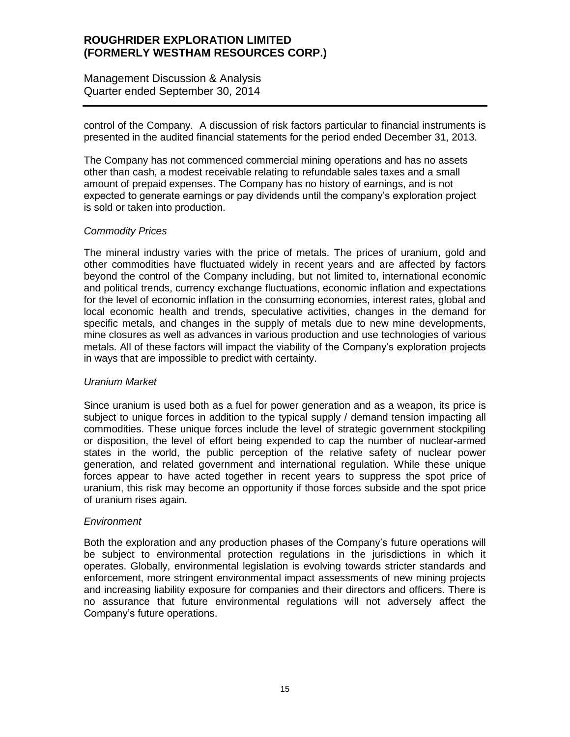Management Discussion & Analysis Quarter ended September 30, 2014

control of the Company. A discussion of risk factors particular to financial instruments is presented in the audited financial statements for the period ended December 31, 2013.

The Company has not commenced commercial mining operations and has no assets other than cash, a modest receivable relating to refundable sales taxes and a small amount of prepaid expenses. The Company has no history of earnings, and is not expected to generate earnings or pay dividends until the company's exploration project is sold or taken into production.

### *Commodity Prices*

The mineral industry varies with the price of metals. The prices of uranium, gold and other commodities have fluctuated widely in recent years and are affected by factors beyond the control of the Company including, but not limited to, international economic and political trends, currency exchange fluctuations, economic inflation and expectations for the level of economic inflation in the consuming economies, interest rates, global and local economic health and trends, speculative activities, changes in the demand for specific metals, and changes in the supply of metals due to new mine developments, mine closures as well as advances in various production and use technologies of various metals. All of these factors will impact the viability of the Company's exploration projects in ways that are impossible to predict with certainty.

### *Uranium Market*

Since uranium is used both as a fuel for power generation and as a weapon, its price is subject to unique forces in addition to the typical supply / demand tension impacting all commodities. These unique forces include the level of strategic government stockpiling or disposition, the level of effort being expended to cap the number of nuclear-armed states in the world, the public perception of the relative safety of nuclear power generation, and related government and international regulation. While these unique forces appear to have acted together in recent years to suppress the spot price of uranium, this risk may become an opportunity if those forces subside and the spot price of uranium rises again.

### *Environment*

Both the exploration and any production phases of the Company's future operations will be subject to environmental protection regulations in the jurisdictions in which it operates. Globally, environmental legislation is evolving towards stricter standards and enforcement, more stringent environmental impact assessments of new mining projects and increasing liability exposure for companies and their directors and officers. There is no assurance that future environmental regulations will not adversely affect the Company's future operations.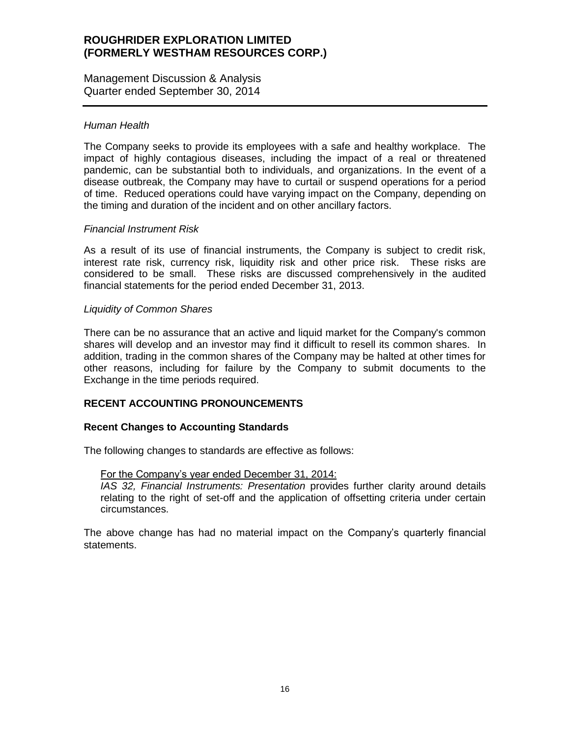Management Discussion & Analysis Quarter ended September 30, 2014

### *Human Health*

The Company seeks to provide its employees with a safe and healthy workplace. The impact of highly contagious diseases, including the impact of a real or threatened pandemic, can be substantial both to individuals, and organizations. In the event of a disease outbreak, the Company may have to curtail or suspend operations for a period of time. Reduced operations could have varying impact on the Company, depending on the timing and duration of the incident and on other ancillary factors.

#### *Financial Instrument Risk*

As a result of its use of financial instruments, the Company is subject to credit risk, interest rate risk, currency risk, liquidity risk and other price risk. These risks are considered to be small. These risks are discussed comprehensively in the audited financial statements for the period ended December 31, 2013.

#### *Liquidity of Common Shares*

There can be no assurance that an active and liquid market for the Company's common shares will develop and an investor may find it difficult to resell its common shares. In addition, trading in the common shares of the Company may be halted at other times for other reasons, including for failure by the Company to submit documents to the Exchange in the time periods required.

### **RECENT ACCOUNTING PRONOUNCEMENTS**

#### **Recent Changes to Accounting Standards**

The following changes to standards are effective as follows:

#### For the Company's year ended December 31, 2014:

*IAS 32, Financial Instruments: Presentation* provides further clarity around details relating to the right of set-off and the application of offsetting criteria under certain circumstances.

The above change has had no material impact on the Company's quarterly financial statements.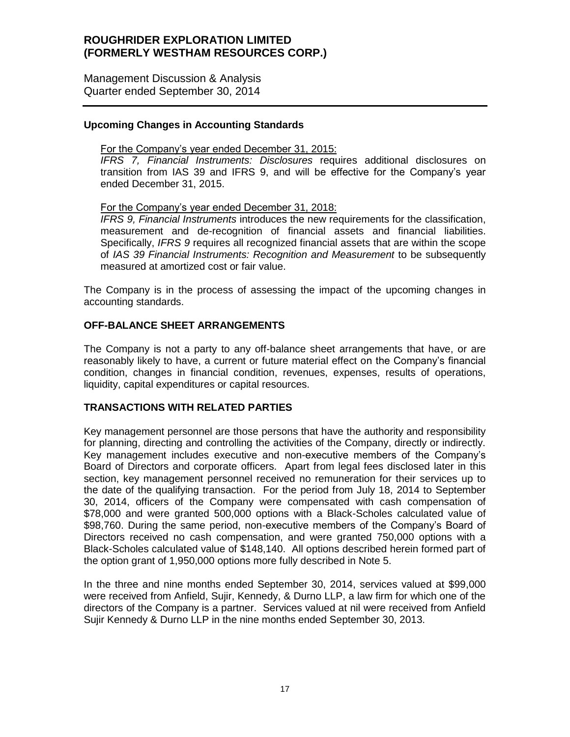Management Discussion & Analysis Quarter ended September 30, 2014

### **Upcoming Changes in Accounting Standards**

#### For the Company's year ended December 31, 2015:

*IFRS 7, Financial Instruments: Disclosures* requires additional disclosures on transition from IAS 39 and IFRS 9, and will be effective for the Company's year ended December 31, 2015.

#### For the Company's year ended December 31, 2018:

*IFRS 9, Financial Instruments* introduces the new requirements for the classification, measurement and de-recognition of financial assets and financial liabilities. Specifically, *IFRS 9* requires all recognized financial assets that are within the scope of *IAS 39 Financial Instruments: Recognition and Measurement* to be subsequently measured at amortized cost or fair value.

The Company is in the process of assessing the impact of the upcoming changes in accounting standards.

### **OFF-BALANCE SHEET ARRANGEMENTS**

The Company is not a party to any off-balance sheet arrangements that have, or are reasonably likely to have, a current or future material effect on the Company's financial condition, changes in financial condition, revenues, expenses, results of operations, liquidity, capital expenditures or capital resources.

#### **TRANSACTIONS WITH RELATED PARTIES**

Key management personnel are those persons that have the authority and responsibility for planning, directing and controlling the activities of the Company, directly or indirectly. Key management includes executive and non-executive members of the Company's Board of Directors and corporate officers. Apart from legal fees disclosed later in this section, key management personnel received no remuneration for their services up to the date of the qualifying transaction. For the period from July 18, 2014 to September 30, 2014, officers of the Company were compensated with cash compensation of \$78,000 and were granted 500,000 options with a Black-Scholes calculated value of \$98,760. During the same period, non-executive members of the Company's Board of Directors received no cash compensation, and were granted 750,000 options with a Black-Scholes calculated value of \$148,140. All options described herein formed part of the option grant of 1,950,000 options more fully described in Note 5.

In the three and nine months ended September 30, 2014, services valued at \$99,000 were received from Anfield, Sujir, Kennedy, & Durno LLP, a law firm for which one of the directors of the Company is a partner. Services valued at nil were received from Anfield Sujir Kennedy & Durno LLP in the nine months ended September 30, 2013.